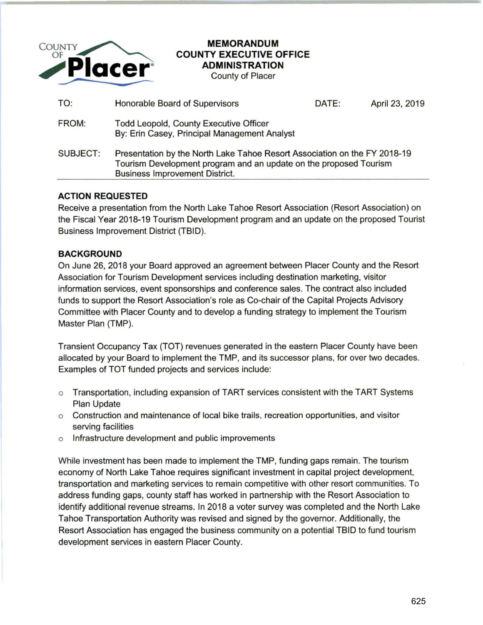

# **MEMORANDUM COUNTY EXECUTIVE OFFICE ADMINISTRATION**

County of Placer

| TO:      | Honorable Board of Supervisors                                                                                                                                                          | DATE: | April 23, 2019 |
|----------|-----------------------------------------------------------------------------------------------------------------------------------------------------------------------------------------|-------|----------------|
| FROM:    | Todd Leopold, County Executive Officer<br>By: Erin Casey, Principal Management Analyst                                                                                                  |       |                |
| SUBJECT: | Presentation by the North Lake Tahoe Resort Association on the FY 2018-19<br>Tourism Development program and an update on the proposed Tourism<br><b>Business Improvement District.</b> |       |                |

## **ACTION REQUESTED**

Receive a presentation from the North Lake Tahoe Resort Association (Resort Association) on the Fiscal Year 2018-19 Tourism Development program and an update on the proposed Tourist Business Improvement District (TBID).

# **BACKGROUND**

On June 26, 2018 your Board approved an agreement between Placer County and the Resort Association for Tourism Development services including destination marketing, visitor information services, event sponsorships and conference sales. The contract also included funds to support the Resort Association's role as Co-chair of the Capital Projects Advisory Committee with Placer County and to develop a funding strategy to implement the Tourism Master Plan (TMP).

Transient Occupancy Tax (TOT} revenues generated in the eastern Placer County have been allocated by your Board to implement the TMP, and its successor plans, for over two decades. Examples of TOT funded projects and services include:

- o Transportation, including expansion of TART services consistent with the TART Systems Plan Update
- o Construction and maintenance of local bike trails, recreation opportunities, and visitor serving facilities
- o Infrastructure development and public improvements

While investment has been made to implement the TMP, funding gaps remain. The tourism economy of North Lake Tahoe requires significant investment in capital project development, transportation and marketing services to remain competitive with other resort communities. To address funding gaps, county staff has worked in partnership with the Resort Association to identify additional revenue streams. In 2018 a voter survey was completed and the North Lake Tahoe Transportation Authority was revised and signed by the governor. Additionally, the Resort Association has engaged the business community on a potential TBID to fund tourism development services in eastern Placer County.